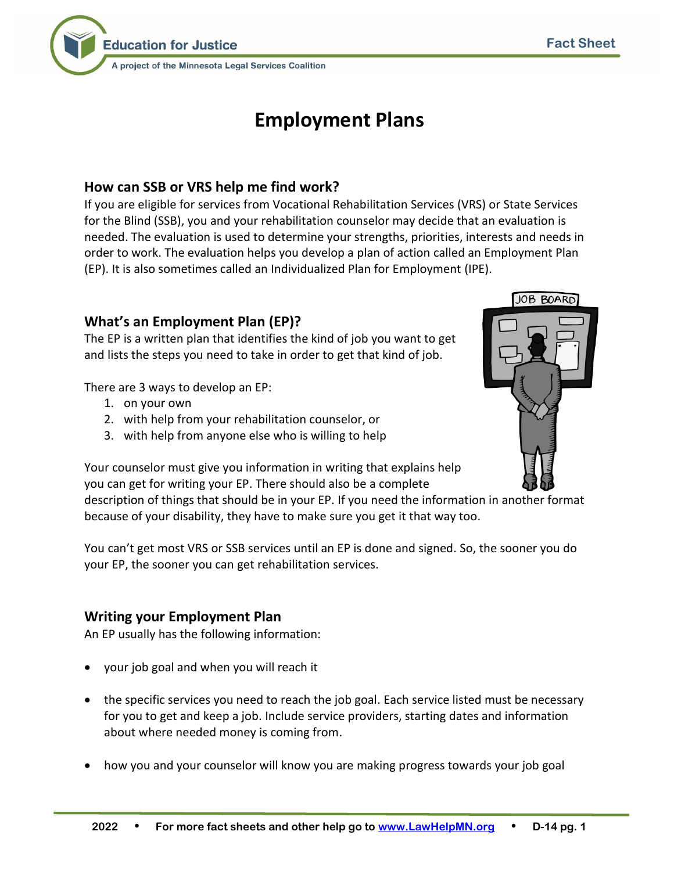

A project of the Minnesota Legal Services Coalition

# **Employment Plans**

## **How can SSB or VRS help me find work?**

If you are eligible for services from Vocational Rehabilitation Services (VRS) or State Services for the Blind (SSB), you and your rehabilitation counselor may decide that an evaluation is needed. The evaluation is used to determine your strengths, priorities, interests and needs in order to work. The evaluation helps you develop a plan of action called an Employment Plan (EP). It is also sometimes called an Individualized Plan for Employment (IPE).

# **What's an Employment Plan (EP)?**

The EP is a written plan that identifies the kind of job you want to get and lists the steps you need to take in order to get that kind of job.

There are 3 ways to develop an EP:

- 1. on your own
- 2. with help from your rehabilitation counselor, or
- 3. with help from anyone else who is willing to help

Your counselor must give you information in writing that explains help you can get for writing your EP. There should also be a complete description of things that should be in your EP. If you need the information in another format because of your disability, they have to make sure you get it that way too.

You can't get most VRS or SSB services until an EP is done and signed. So, the sooner you do your EP, the sooner you can get rehabilitation services.

## **Writing your Employment Plan**

An EP usually has the following information:

- your job goal and when you will reach it
- the specific services you need to reach the job goal. Each service listed must be necessary for you to get and keep a job. Include service providers, starting dates and information about where needed money is coming from.
- how you and your counselor will know you are making progress towards your job goal



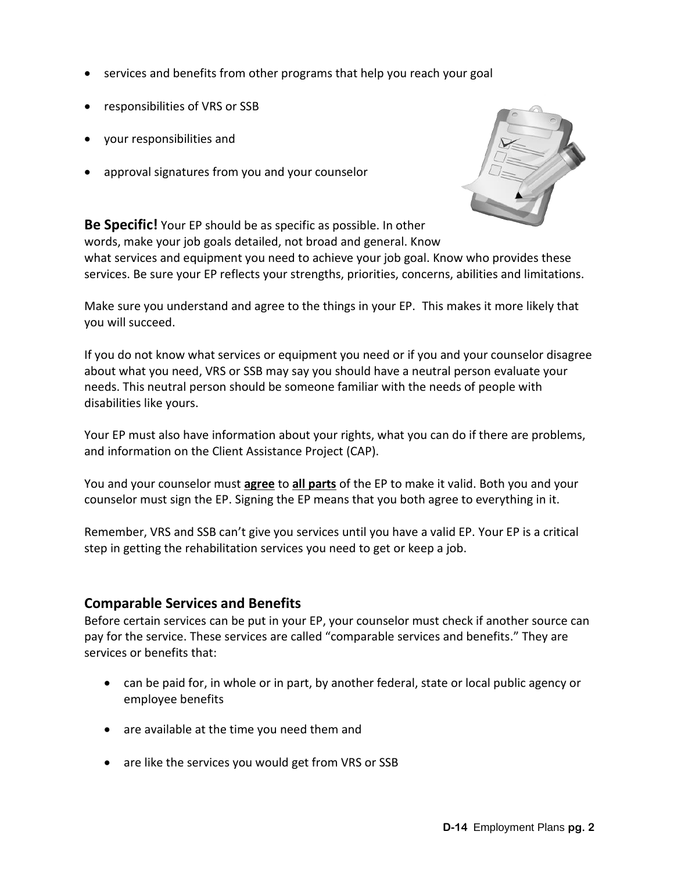- services and benefits from other programs that help you reach your goal
- responsibilities of VRS or SSB
- your responsibilities and
- approval signatures from you and your counselor



**Be Specific!** Your EP should be as specific as possible. In other words, make your job goals detailed, not broad and general. Know

what services and equipment you need to achieve your job goal. Know who provides these services. Be sure your EP reflects your strengths, priorities, concerns, abilities and limitations.

Make sure you understand and agree to the things in your EP. This makes it more likely that you will succeed.

If you do not know what services or equipment you need or if you and your counselor disagree about what you need, VRS or SSB may say you should have a neutral person evaluate your needs. This neutral person should be someone familiar with the needs of people with disabilities like yours.

Your EP must also have information about your rights, what you can do if there are problems, and information on the Client Assistance Project (CAP).

You and your counselor must **agree** to **all parts** of the EP to make it valid. Both you and your counselor must sign the EP. Signing the EP means that you both agree to everything in it.

Remember, VRS and SSB can't give you services until you have a valid EP. Your EP is a critical step in getting the rehabilitation services you need to get or keep a job.

#### **Comparable Services and Benefits**

Before certain services can be put in your EP, your counselor must check if another source can pay for the service. These services are called "comparable services and benefits." They are services or benefits that:

- can be paid for, in whole or in part, by another federal, state or local public agency or employee benefits
- are available at the time you need them and
- are like the services you would get from VRS or SSB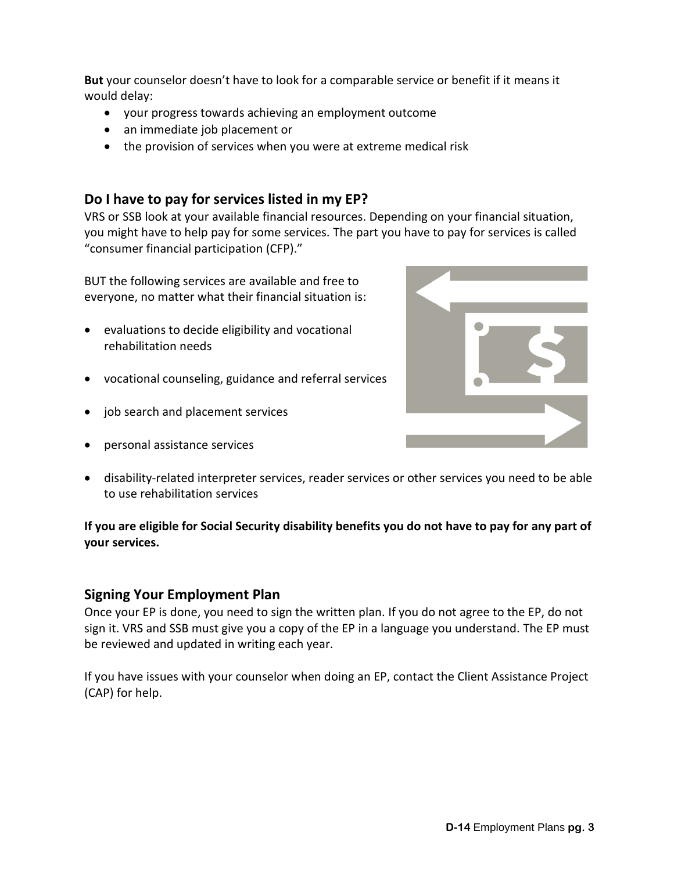**But** your counselor doesn't have to look for a comparable service or benefit if it means it would delay:

- your progress towards achieving an employment outcome
- an immediate job placement or
- the provision of services when you were at extreme medical risk

#### **Do I have to pay for services listed in my EP?**

VRS or SSB look at your available financial resources. Depending on your financial situation, you might have to help pay for some services. The part you have to pay for services is called "consumer financial participation (CFP)."

BUT the following services are available and free to everyone, no matter what their financial situation is:

- evaluations to decide eligibility and vocational rehabilitation needs
- vocational counseling, guidance and referral services
- job search and placement services
- personal assistance services



• disability-related interpreter services, reader services or other services you need to be able to use rehabilitation services

#### **If you are eligible for Social Security disability benefits you do not have to pay for any part of your services.**

#### **Signing Your Employment Plan**

Once your EP is done, you need to sign the written plan. If you do not agree to the EP, do not sign it. VRS and SSB must give you a copy of the EP in a language you understand. The EP must be reviewed and updated in writing each year.

If you have issues with your counselor when doing an EP, contact the Client Assistance Project (CAP) for help.